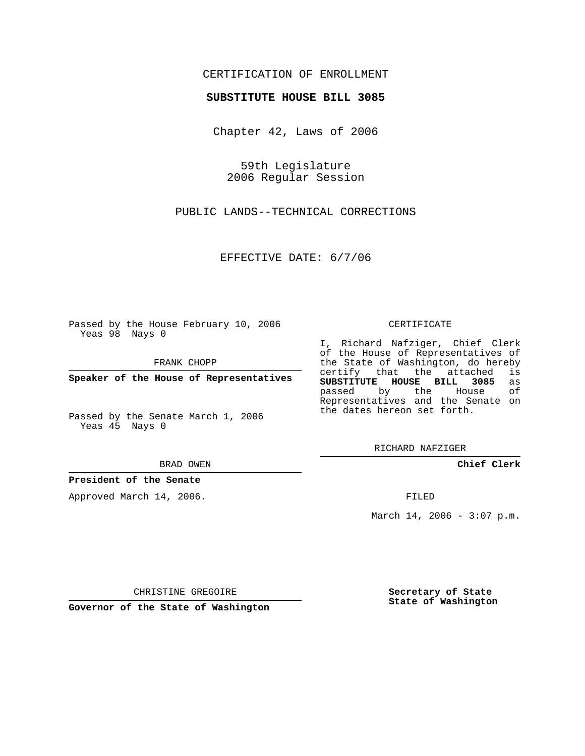# CERTIFICATION OF ENROLLMENT

#### **SUBSTITUTE HOUSE BILL 3085**

Chapter 42, Laws of 2006

59th Legislature 2006 Regular Session

PUBLIC LANDS--TECHNICAL CORRECTIONS

EFFECTIVE DATE: 6/7/06

Passed by the House February 10, 2006 Yeas 98 Nays 0

FRANK CHOPP

**Speaker of the House of Representatives**

Passed by the Senate March 1, 2006 Yeas 45 Nays 0

BRAD OWEN

### **President of the Senate**

Approved March 14, 2006.

CERTIFICATE

I, Richard Nafziger, Chief Clerk of the House of Representatives of the State of Washington, do hereby<br>certify that the attached is certify that the attached **SUBSTITUTE HOUSE BILL 3085** as passed by the Representatives and the Senate on the dates hereon set forth.

RICHARD NAFZIGER

**Chief Clerk**

FILED

March 14, 2006 -  $3:07$  p.m.

CHRISTINE GREGOIRE

**Governor of the State of Washington**

**Secretary of State State of Washington**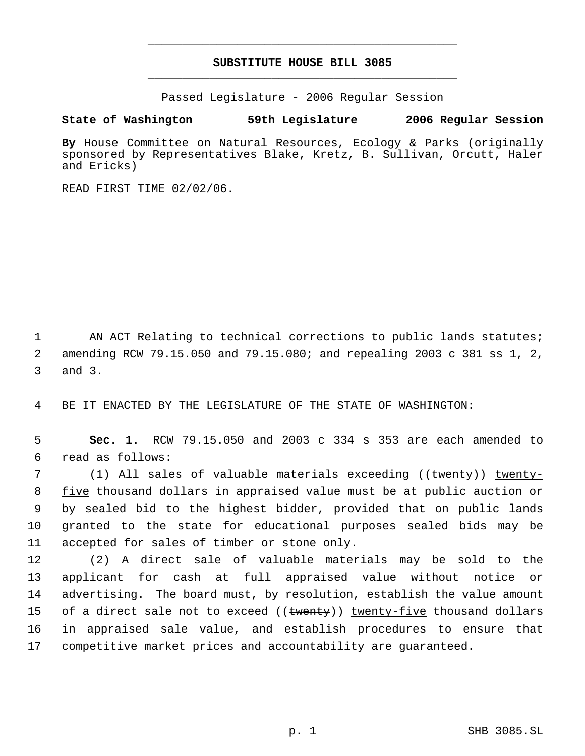# **SUBSTITUTE HOUSE BILL 3085** \_\_\_\_\_\_\_\_\_\_\_\_\_\_\_\_\_\_\_\_\_\_\_\_\_\_\_\_\_\_\_\_\_\_\_\_\_\_\_\_\_\_\_\_\_

\_\_\_\_\_\_\_\_\_\_\_\_\_\_\_\_\_\_\_\_\_\_\_\_\_\_\_\_\_\_\_\_\_\_\_\_\_\_\_\_\_\_\_\_\_

Passed Legislature - 2006 Regular Session

# **State of Washington 59th Legislature 2006 Regular Session**

**By** House Committee on Natural Resources, Ecology & Parks (originally sponsored by Representatives Blake, Kretz, B. Sullivan, Orcutt, Haler and Ericks)

READ FIRST TIME 02/02/06.

1 AN ACT Relating to technical corrections to public lands statutes; 2 amending RCW 79.15.050 and 79.15.080; and repealing 2003 c 381 ss 1, 2, 3 and 3.

4 BE IT ENACTED BY THE LEGISLATURE OF THE STATE OF WASHINGTON:

 5 **Sec. 1.** RCW 79.15.050 and 2003 c 334 s 353 are each amended to 6 read as follows:

7 (1) All sales of valuable materials exceeding ((twenty)) twenty-8 five thousand dollars in appraised value must be at public auction or 9 by sealed bid to the highest bidder, provided that on public lands 10 granted to the state for educational purposes sealed bids may be 11 accepted for sales of timber or stone only.

 (2) A direct sale of valuable materials may be sold to the applicant for cash at full appraised value without notice or advertising. The board must, by resolution, establish the value amount 15 of a direct sale not to exceed ((<del>twenty</del>)) <u>twenty-five</u> thousand dollars in appraised sale value, and establish procedures to ensure that competitive market prices and accountability are guaranteed.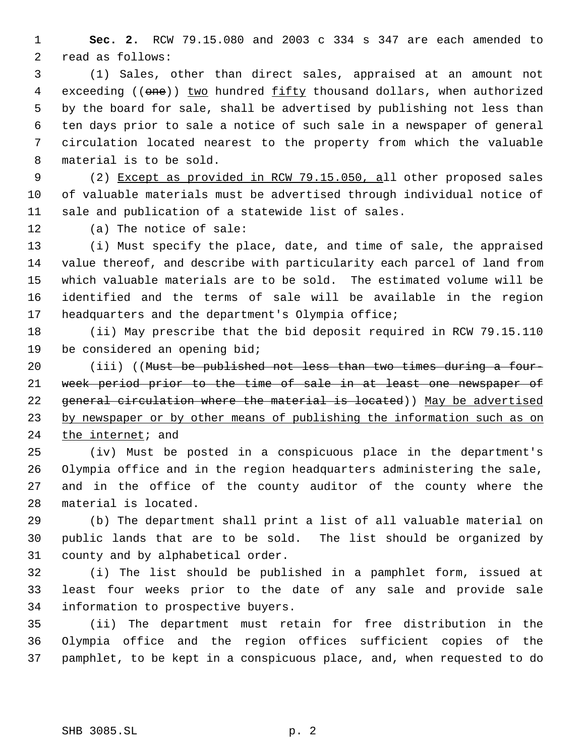**Sec. 2.** RCW 79.15.080 and 2003 c 334 s 347 are each amended to read as follows:

 (1) Sales, other than direct sales, appraised at an amount not 4 exceeding ((one)) two hundred fifty thousand dollars, when authorized by the board for sale, shall be advertised by publishing not less than ten days prior to sale a notice of such sale in a newspaper of general circulation located nearest to the property from which the valuable material is to be sold.

 (2) Except as provided in RCW 79.15.050, all other proposed sales of valuable materials must be advertised through individual notice of sale and publication of a statewide list of sales.

(a) The notice of sale:

 (i) Must specify the place, date, and time of sale, the appraised value thereof, and describe with particularity each parcel of land from which valuable materials are to be sold. The estimated volume will be identified and the terms of sale will be available in the region headquarters and the department's Olympia office;

 (ii) May prescribe that the bid deposit required in RCW 79.15.110 be considered an opening bid;

20 (iii) ((Must be published not less than two times during a four- week period prior to the time of sale in at least one newspaper of 22 general circulation where the material is located)) May be advertised 23 by newspaper or by other means of publishing the information such as on the internet; and

 (iv) Must be posted in a conspicuous place in the department's Olympia office and in the region headquarters administering the sale, and in the office of the county auditor of the county where the material is located.

 (b) The department shall print a list of all valuable material on public lands that are to be sold. The list should be organized by county and by alphabetical order.

 (i) The list should be published in a pamphlet form, issued at least four weeks prior to the date of any sale and provide sale information to prospective buyers.

 (ii) The department must retain for free distribution in the Olympia office and the region offices sufficient copies of the pamphlet, to be kept in a conspicuous place, and, when requested to do